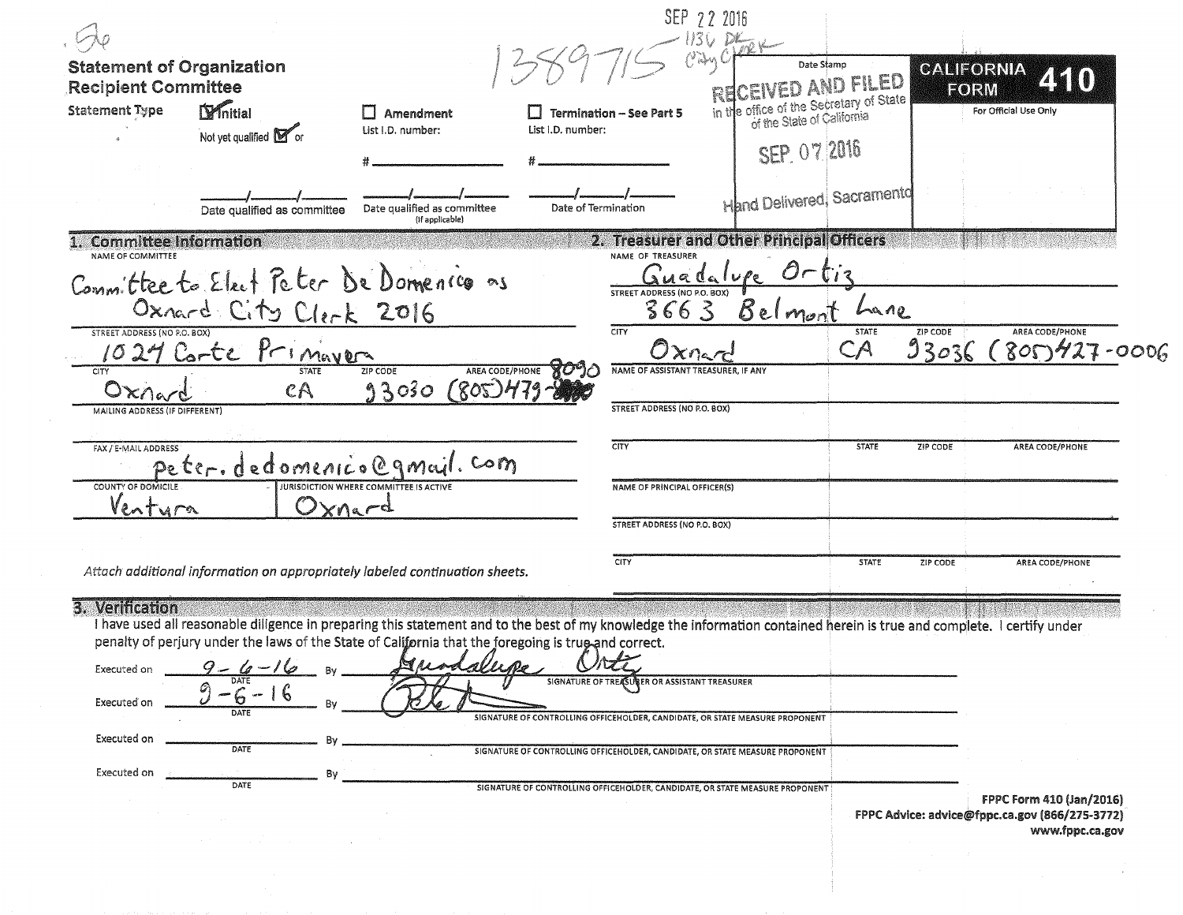|                                                                                                                                                                         |                                                                              | SEP 22 2016                                 |                                                                            |
|-------------------------------------------------------------------------------------------------------------------------------------------------------------------------|------------------------------------------------------------------------------|---------------------------------------------|----------------------------------------------------------------------------|
|                                                                                                                                                                         |                                                                              |                                             |                                                                            |
| <b>Statement of Organization</b>                                                                                                                                        |                                                                              | Date Stamp                                  | CALIFORNIA<br>440                                                          |
| <b>Recipient Committee</b><br><b>Statement Type</b>                                                                                                                     |                                                                              | WED AND FILED                               | <b>FORM</b><br>For Official Use Only                                       |
| Dynitial<br>Amendment<br>List I.D. number:                                                                                                                              | <b>Termination - See Part 5</b><br>List I.D. number:                         | in the office of the Secretary of State     |                                                                            |
| Not yet qualified <b>M</b> or                                                                                                                                           |                                                                              | SEP 07 2016                                 |                                                                            |
|                                                                                                                                                                         |                                                                              |                                             |                                                                            |
| Date qualified as committee<br>Date qualified as committee<br>(If applicable)                                                                                           | Date of Termination                                                          | <b>Hand Delivered, Sacramentd</b>           |                                                                            |
| 1. Committee Information<br>NAME OF COMMITTEE                                                                                                                           | NAME OF TREASURER                                                            | 2. Treasurer and Other Principal Officers   |                                                                            |
| Committee to Elect Peter De Domenico as                                                                                                                                 |                                                                              | $O_{\Gamma}$<br>$\int_0^1 i^2$<br>suadalupe |                                                                            |
| Oxnard City Clerk 2016                                                                                                                                                  | STREET ADDRESS (NO P.O. BOX)<br>366 S                                        | Belmo <sub>n</sub><br>Lane                  |                                                                            |
| STREET ADDRESS (NO P.O. BOX)<br>Primavers                                                                                                                               | CITY                                                                         | <b>STATE</b><br>CA<br>Oxnerc                | ZIP CODE<br>AREA CODE/PHONE<br>93036<br>$8009427 - 0006$                   |
| $1024$ Corte<br><b>STATE</b><br><b>ZIP CODE</b><br>CITY                                                                                                                 | <b>AREA CODE/PHONE</b>                                                       | NAME OF ASSISTANT TREASURER. IF ANY         |                                                                            |
| 93030<br>Oxner<br>$c\mathsf{A}$                                                                                                                                         | 805)479                                                                      |                                             |                                                                            |
| MAILING ADDRESS (IF DIFFERENT)                                                                                                                                          | <b>STREET ADDRESS (NO P.O. BOX)</b>                                          |                                             |                                                                            |
| FAX / E-MAIL ADDRESS<br>peter. dedomenico@gmail. com                                                                                                                    | CITY                                                                         | <b>STATE</b>                                | AREA CODE/PHONE<br>ZIP CODE                                                |
| <b>COUNTY OF DOMICILE</b><br>JURISDICTION WHERE COMMITTEE IS ACTIVE                                                                                                     | NAME OF PRINCIPAL OFFICER(S)                                                 |                                             |                                                                            |
| lentura<br>$_{a}$ $-$ d                                                                                                                                                 | STREET ADDRESS (NO P.O. BOX)                                                 |                                             |                                                                            |
|                                                                                                                                                                         |                                                                              |                                             |                                                                            |
| Attach additional information on appropriately labeled continuation sheets.                                                                                             | CITY                                                                         | <b>STATE</b>                                | ZIP CODE<br>AREA CODE/PHONE                                                |
| 3. Verification                                                                                                                                                         |                                                                              |                                             |                                                                            |
| I have used all reasonable diligence in preparing this statement and to the best of my knowledge the information contained herein is true and complete. I certify under |                                                                              |                                             |                                                                            |
| penalty of perjury under the laws of the State of California that the foregoing is true and correct.<br>$\mathbb{N}$ $\mu$                                              |                                                                              |                                             |                                                                            |
| $9 - 6 - 16$<br>Executed on<br>DATE                                                                                                                                     | SIGNATURE OF TREASURER OR ASSISTANT TREASURER                                |                                             |                                                                            |
| 16<br>Executed on<br>DATE                                                                                                                                               | SIGNATURE OF CONTROLLING OFFICEHOLDER, CANDIDATE, OR STATE MEASURE PROPONENT |                                             |                                                                            |
| Executed on                                                                                                                                                             |                                                                              |                                             |                                                                            |
| DATE                                                                                                                                                                    | SIGNATURE OF CONTROLLING OFFICEHOLDER, CANDIDATE, OR STATE MEASURE PROPONENT |                                             |                                                                            |
| Executed on<br>Bv<br>DATE                                                                                                                                               | SIGNATURE OF CONTROLLING OFFICEHOLDER, CANDIDATE, OR STATE MEASURE PROPONENT |                                             |                                                                            |
|                                                                                                                                                                         |                                                                              |                                             | FPPC Form 410 (Jan/2016)<br>FPPC Advice: advice@fppc.ca.gov (866/275-3772) |
|                                                                                                                                                                         |                                                                              |                                             | www.fppc.ca.gov                                                            |
|                                                                                                                                                                         |                                                                              |                                             |                                                                            |
|                                                                                                                                                                         |                                                                              |                                             |                                                                            |
|                                                                                                                                                                         |                                                                              |                                             |                                                                            |